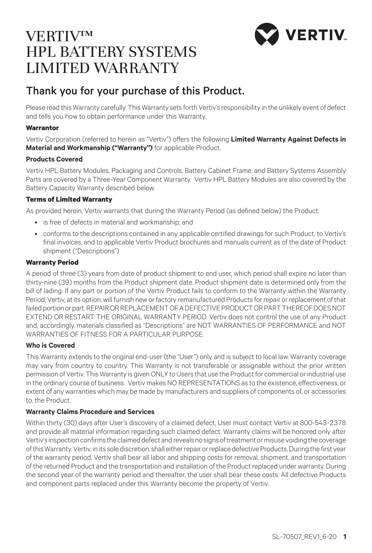# VERTIV.

## VERTIV™ HPL BATTERY SYSTEMS LIMITED WARRANTY

### Thank you for your purchase of this Product.

Please read this Warranty carefully. This Warranty sets forth Vertiv's responsibility in the unlikely event of defect and tells you how to obtain performance under this Warranty.

#### **Warrantor**

Vertiv Corporation (referred to herein as "Vertiv") offers the following **Limited Warranty Against Defects in Material and Workmanship ("Warranty")** for applicable Product.

#### **Products Covered**

Vertiv HPL Battery Modules, Packaging and Controls, Battery Cabinet Frame, and Battery Systems Assembly Parts are covered by a Three-Year Component Warranty. Vertiv HPL Battery Modules are also covered by the Battery Capacity Warranty described below.

#### **Terms of Limited Warranty**

As provided herein, Vertiv warrants that during the Warranty Period (as defined below) the Product:

- is free of defects in material and workmanship; and
- conforms to the descriptions contained in any applicable certified drawings for such Product, to Vertiv's final invoices, and to applicable Vertiv Product brochures and manuals current as of the date of Product shipment ("Descriptions")

#### **Warranty Period**

A period of three (3) years from date of product shipment to end user, which period shall expire no later than thirty-nine (39) months from the Product shipment date. Product shipment date is determined only from the bill of lading. If any part or portion of the Vertiv Product fails to conform to the Warranty within the Warranty Period, Vertiv, at its option, will furnish new or factory remanufactured Products for repair or replacement of that failed portion or part. REPAIR OR REPLACEMENT OF A DEFECTIVE PRODUCT OR PART THEREOF DOES NOT EXTEND OR RESTART THE ORIGINAL WARRANTY PERIOD. Vertiv does not control the use of any Product and, accordingly, materials classified as "Descriptions" are NOT WARRANTIES OF PERFORMANCE and NOT WARRANTIES OF FITNESS FOR A PARTICULAR PURPOSE.

#### **Who is Covered**

This Warranty extends to the original end-user (the "User") only and is subject to local law. Warranty coverage may vary from country to country. This Warranty is not transferable or assignable without the prior written permission of Vertiv. This Warranty is given ONLY to Users that use the Product for commercial or industrial use in the ordinary course of business. Vertiv makes NO REPRESENTATIONS as to the existence, effectiveness, or extent of any warranties which may be made by manufacturers and suppliers of components of, or accessories to, the Product.

#### **Warranty Claims Procedure and Services**

Within thirty (30) days after User's discovery of a claimed defect, User must contact Vertiv at 800-543-2378 and provide all material information regarding such claimed defect. Warranty claims will be honored only after Vertiv's inspection confirms the claimed defect and reveals no signs of treatment or misuse voiding the coverage of this Warranty. Vertiv, in its sole discretion, shall either repair or replace defective Products. During the first year of the warranty period, Vertiv shall bear all labor and shipping costs for removal, shipment, and transportation of the returned Product and the transportation and installation of the Product replaced under warranty. During the second year of the warranty period and thereafter, the user shall bear these costs. All defective Products and component parts replaced under this Warranty become the property of Vertiv.